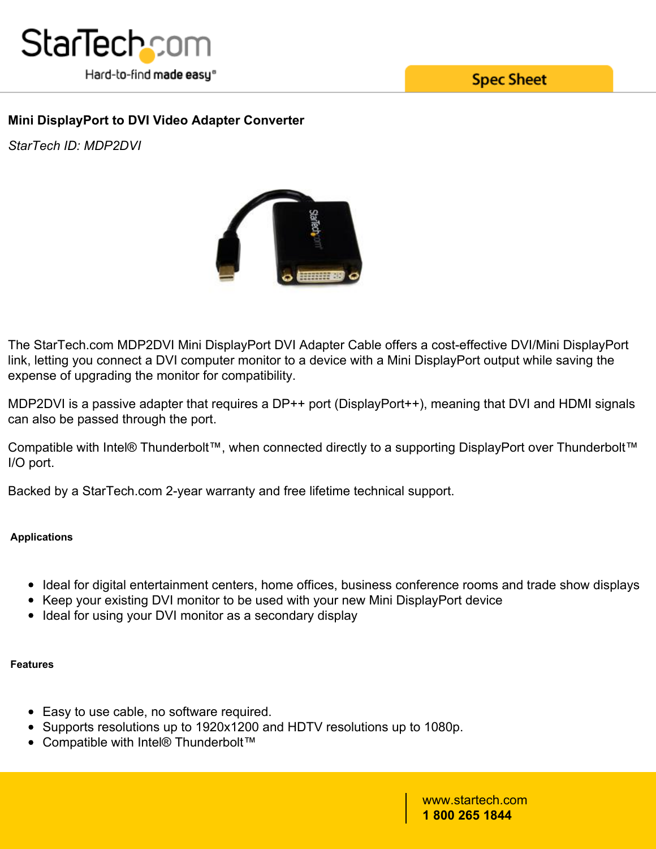

## **Spec Sheet**

### **Mini DisplayPort to DVI Video Adapter Converter**

*StarTech ID: MDP2DVI*



The StarTech.com MDP2DVI Mini DisplayPort DVI Adapter Cable offers a cost-effective DVI/Mini DisplayPort link, letting you connect a DVI computer monitor to a device with a Mini DisplayPort output while saving the expense of upgrading the monitor for compatibility.

MDP2DVI is a passive adapter that requires a DP++ port (DisplayPort++), meaning that DVI and HDMI signals can also be passed through the port.

Compatible with Intel® Thunderbolt™, when connected directly to a supporting DisplayPort over Thunderbolt™ I/O port.

Backed by a StarTech.com 2-year warranty and free lifetime technical support.

#### **Applications**

- Ideal for digital entertainment centers, home offices, business conference rooms and trade show displays
- Keep your existing DVI monitor to be used with your new Mini DisplayPort device
- Ideal for using your DVI monitor as a secondary display

#### **Features**

- Easy to use cable, no software required.
- Supports resolutions up to 1920x1200 and HDTV resolutions up to 1080p.
- Compatible with Intel® Thunderbolt™

www.startech.com **1 800 265 1844**